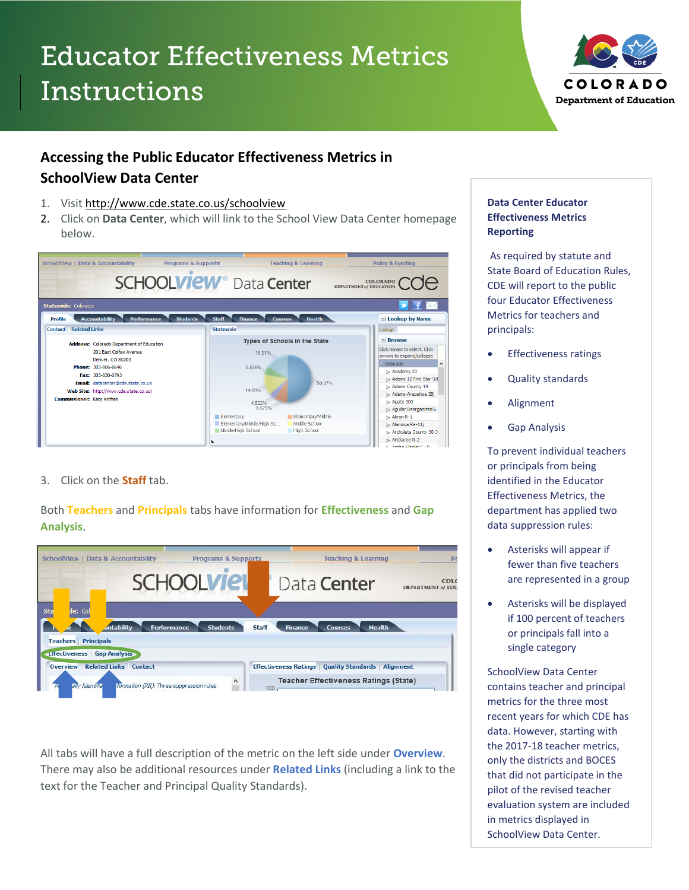# Educator Effectiveness Metrics Instructions



## **Accessing the Public Educator Effectiveness Metrics in SchoolView Data Center**

- 1. Visit<http://www.cde.state.co.us/schoolview>
- 2. Click on **Data Center**, which will link to the School View Data Center homepage below.



#### 3. Click on the **Staff** tab.

Both **Teachers** and **Principals** tabs have information for **Effectiveness** and **Gap Analysis**.

| SchoolView   Data & Accountability                                                           | <b>Programs &amp; Supports</b>           |              |                | <b>Teaching &amp; Learning</b>                                                                               | Po                               |
|----------------------------------------------------------------------------------------------|------------------------------------------|--------------|----------------|--------------------------------------------------------------------------------------------------------------|----------------------------------|
|                                                                                              | <b>SCHOOLVIE</b>                         |              |                | Data <b>Center</b>                                                                                           | COLC<br><b>DEPARTMENT of EDU</b> |
| Sta<br>le: Col<br><i>intability</i><br><b>Principals</b><br><b>Teachers</b>                  | <b>Performance</b><br><b>Students</b>    | <b>Staff</b> | <b>Finance</b> | <b>Health</b><br><b>Courses</b>                                                                              |                                  |
| <b>Ettectiveness Gap Analysis</b><br><b>Overview Related Links Contact</b><br>ally Identifia | formation (PII): Three suppression rules | 100          |                | <b>Effectiveness Ratings   Quality Standards   Alignment</b><br><b>Teacher Effectiveness Ratings (State)</b> |                                  |

All tabs will have a full description of the metric on the left side under **Overview**. There may also be additional resources under **Related Links** (including a link to the text for the Teacher and Principal Quality Standards).

#### **Data Center Educator Effectiveness Metrics Reporting**

As required by statute and State Board of Education Rules, CDE will report to the public four Educator Effectiveness Metrics for teachers and principals:

- Effectiveness ratings
- Quality standards
- Alignment
- Gap Analysis

To prevent individual teachers or principals from being identified in the Educator Effectiveness Metrics, the department has applied two data suppression rules:

- Asterisks will appear if fewer than five teachers are represented in a group
- Asterisks will be displayed if 100 percent of teachers or principals fall into a single category

SchoolView Data Center contains teacher and principal metrics for the three most recent years for which CDE has data. However, starting with the 2017-18 teacher metrics, only the districts and BOCES that did not participate in the pilot of the revised teacher evaluation system are included in metrics displayed in SchoolView Data Center.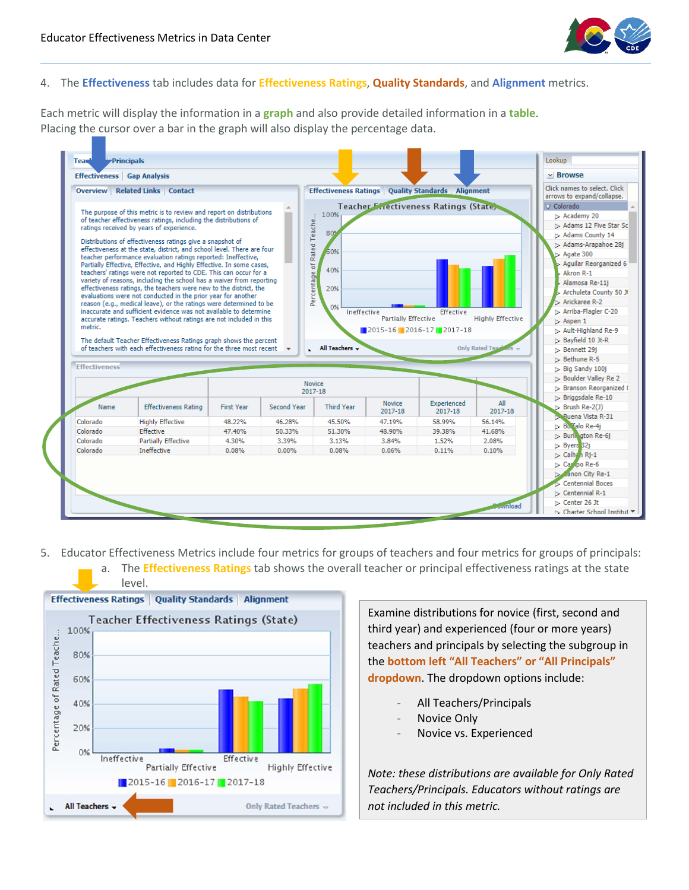

#### 4. The **Effectiveness** tab includes data for **Effectiveness Ratings**, **Quality Standards**, and **Alignment** metrics.

Each metric will display the information in a **graph** and also provide detailed information in a **table**. Placing the cursor over a bar in the graph will also display the percentage data.



- 5. Educator Effectiveness Metrics include four metrics for groups of teachers and four metrics for groups of principals:
	- a. The **Effectiveness Ratings** tab shows the overall teacher or principal effectiveness ratings at the state level.



Examine distributions for novice (first, second and third year) and experienced (four or more years) teachers and principals by selecting the subgroup in the **bottom left "All Teachers" or "All Principals" dropdown**. The dropdown options include:

- All Teachers/Principals
- Novice Only
- Novice vs. Experienced

*Note: these distributions are available for Only Rated Teachers/Principals. Educators without ratings are not included in this metric.*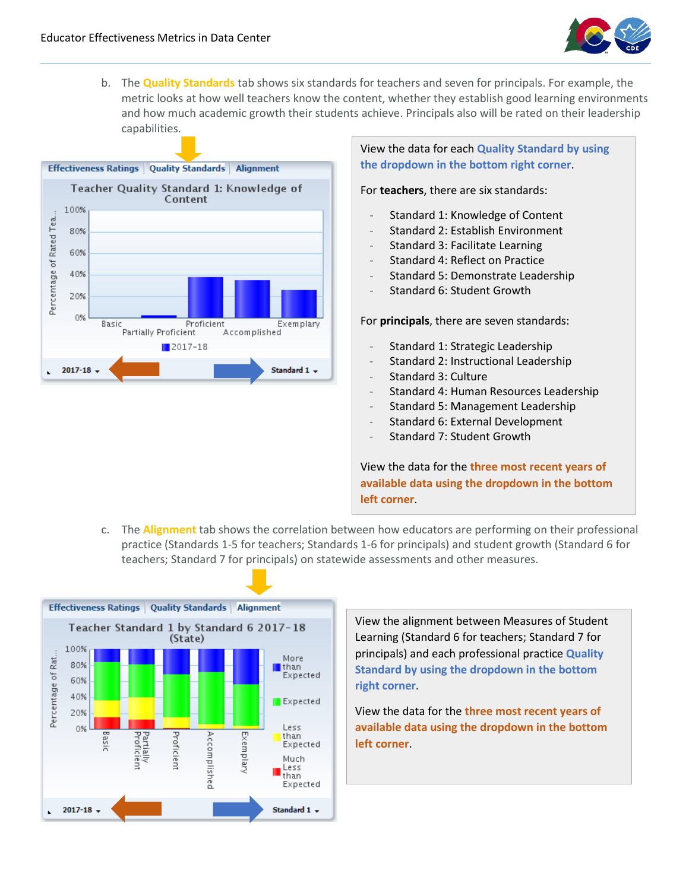

b. The **Quality Standards** tab shows six standards for teachers and seven for principals. For example, the metric looks at how well teachers know the content, whether they establish good learning environments and how much academic growth their students achieve. Principals also will be rated on their leadership capabilities.



View the data for each **Quality Standard by using the dropdown in the bottom right corner**.

For **teachers**, there are six standards:

- Standard 1: Knowledge of Content
- Standard 2: Establish Environment
- Standard 3: Facilitate Learning
- Standard 4: Reflect on Practice
- Standard 5: Demonstrate Leadership
- Standard 6: Student Growth

For **principals**, there are seven standards:

- Standard 1: Strategic Leadership
- Standard 2: Instructional Leadership
- Standard 3: Culture
- Standard 4: Human Resources Leadership
- Standard 5: Management Leadership
- Standard 6: External Development
- Standard 7: Student Growth

View the data for the **three most recent years of available data using the dropdown in the bottom left corner**.

c. The **Alignment** tab shows the correlation between how educators are performing on their professional practice (Standards 1-5 for teachers; Standards 1-6 for principals) and student growth (Standard 6 for teachers; Standard 7 for principals) on statewide assessments and other measures.



View the alignment between Measures of Student Learning (Standard 6 for teachers; Standard 7 for principals) and each professional practice **Quality Standard by using the dropdown in the bottom right corner**.

View the data for the **three most recent years of available data using the dropdown in the bottom left corner**.